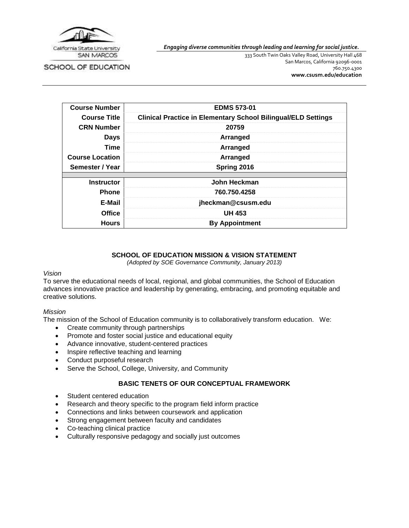

*Engaging diverse communities through leading and learning for social justice.*

SCHOOL OF EDUCATION

333 South Twin Oaks Valley Road, University Hall 468 San Marcos, California 92096-0001 760.750.4300 **[www.csusm.edu/education](http://www.csusm.edu/education)**

| <b>Course Number</b>   | <b>EDMS 573-01</b>                                                   |
|------------------------|----------------------------------------------------------------------|
| <b>Course Title</b>    | <b>Clinical Practice in Elementary School Bilingual/ELD Settings</b> |
| <b>CRN Number</b>      | 20759                                                                |
| <b>Days</b>            | Arranged                                                             |
| <b>Time</b>            | Arranged                                                             |
| <b>Course Location</b> | Arranged                                                             |
| Semester / Year        | Spring 2016                                                          |
|                        |                                                                      |
| <b>Instructor</b>      | John Heckman                                                         |
| <b>Phone</b>           | 760.750.4258                                                         |
| E-Mail                 | jheckman@csusm.edu                                                   |
| <b>Office</b>          | <b>UH 453</b>                                                        |
| <b>Hours</b>           | <b>By Appointment</b>                                                |

# **SCHOOL OF EDUCATION MISSION & VISION STATEMENT**

*(Adopted by SOE Governance Community, January 2013)*

#### *Vision*

To serve the educational needs of local, regional, and global communities, the School of Education advances innovative practice and leadership by generating, embracing, and promoting equitable and creative solutions.

## *Mission*

The mission of the School of Education community is to collaboratively transform education. We:

- Create community through partnerships
- Promote and foster social justice and educational equity
- Advance innovative, student-centered practices
- Inspire reflective teaching and learning
- Conduct purposeful research
- Serve the School, College, University, and Community

## **BASIC TENETS OF OUR CONCEPTUAL FRAMEWORK**

- Student centered education
- Research and theory specific to the program field inform practice
- Connections and links between coursework and application
- Strong engagement between faculty and candidates
- Co-teaching clinical practice
- Culturally responsive pedagogy and socially just outcomes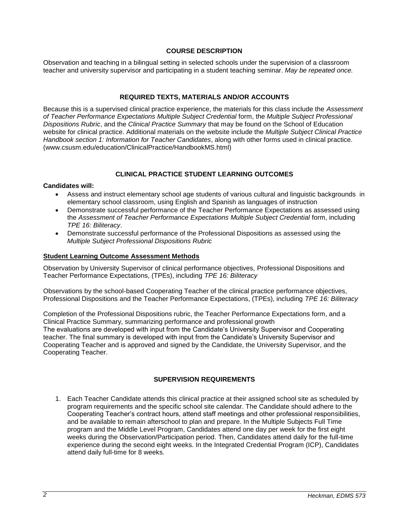### **COURSE DESCRIPTION**

Observation and teaching in a bilingual setting in selected schools under the supervision of a classroom teacher and university supervisor and participating in a student teaching seminar. *May be repeated once.*

### **REQUIRED TEXTS, MATERIALS AND/OR ACCOUNTS**

Because this is a supervised clinical practice experience, the materials for this class include the *Assessment of Teacher Performance Expectations Multiple Subject Credential* form, the *Multiple Subject Professional Dispositions Rubric*, and the *Clinical Practice Summary* that may be found on the School of Education website for clinical practice. Additional materials on the website include the *Multiple Subject Clinical Practice Handbook section 1: Information for Teacher Candidates*, along with other forms used in clinical practice. (www.csusm.edu/education/ClinicalPractice/HandbookMS.html)

### **CLINICAL PRACTICE STUDENT LEARNING OUTCOMES**

#### **Candidates will:**

- Assess and instruct elementary school age students of various cultural and linguistic backgrounds in elementary school classroom, using English and Spanish as languages of instruction
- Demonstrate successful performance of the Teacher Performance Expectations as assessed using the Assessment of Teacher Performance Expectations Multiple Subject Credential form, including *TPE 16: Biliteracy*.
- Demonstrate successful performance of the Professional Dispositions as assessed using the *Multiple Subject Professional Dispositions Rubric*

#### **Student Learning Outcome Assessment Methods**

Observation by University Supervisor of clinical performance objectives, Professional Dispositions and Teacher Performance Expectations, (TPEs), including *TPE 16: Biliteracy*

Observations by the school-based Cooperating Teacher of the clinical practice performance objectives, Professional Dispositions and the Teacher Performance Expectations, (TPEs), including *TPE 16: Biliteracy*

Completion of the Professional Dispositions rubric, the Teacher Performance Expectations form, and a Clinical Practice Summary, summarizing performance and professional growth The evaluations are developed with input from the Candidate's University Supervisor and Cooperating teacher. The final summary is developed with input from the Candidate's University Supervisor and Cooperating Teacher and is approved and signed by the Candidate, the University Supervisor, and the Cooperating Teacher.

#### **SUPERVISION REQUIREMENTS**

1. Each Teacher Candidate attends this clinical practice at their assigned school site as scheduled by program requirements and the specific school site calendar. The Candidate should adhere to the Cooperating Teacher's contract hours, attend staff meetings and other professional responsibilities, and be available to remain afterschool to plan and prepare. In the Multiple Subjects Full Time program and the Middle Level Program, Candidates attend one day per week for the first eight weeks during the Observation/Participation period. Then, Candidates attend daily for the full-time experience during the second eight weeks. In the Integrated Credential Program (ICP), Candidates attend daily full-time for 8 weeks.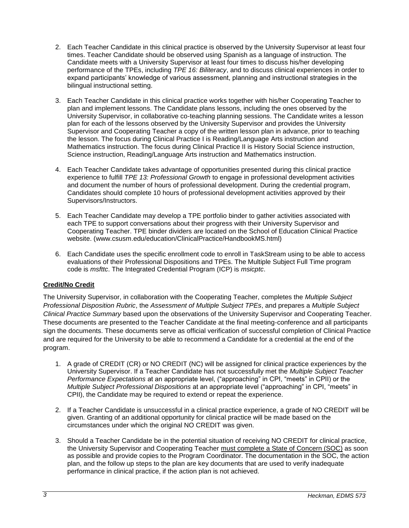- 2. Each Teacher Candidate in this clinical practice is observed by the University Supervisor at least four times. Teacher Candidate should be observed using Spanish as a language of instruction. The Candidate meets with a University Supervisor at least four times to discuss his/her developing performance of the TPEs, including *TPE 16: Biliteracy*, and to discuss clinical experiences in order to expand participants' knowledge of various assessment, planning and instructional strategies in the bilingual instructional setting.
- 3. Each Teacher Candidate in this clinical practice works together with his/her Cooperating Teacher to plan and implement lessons. The Candidate plans lessons, including the ones observed by the University Supervisor, in collaborative co-teaching planning sessions. The Candidate writes a lesson plan for each of the lessons observed by the University Supervisor and provides the University Supervisor and Cooperating Teacher a copy of the written lesson plan in advance, prior to teaching the lesson. The focus during Clinical Practice I is Reading/Language Arts instruction and Mathematics instruction. The focus during Clinical Practice II is History Social Science instruction, Science instruction, Reading/Language Arts instruction and Mathematics instruction.
- 4. Each Teacher Candidate takes advantage of opportunities presented during this clinical practice experience to fulfill *TPE 13: Professional Growth* to engage in professional development activities and document the number of hours of professional development. During the credential program, Candidates should complete 10 hours of professional development activities approved by their Supervisors/Instructors.
- 5. Each Teacher Candidate may develop a TPE portfolio binder to gather activities associated with each TPE to support conversations about their progress with their University Supervisor and Cooperating Teacher. TPE binder dividers are located on the School of Education Clinical Practice website. (www.csusm.edu/education/ClinicalPractice/HandbookMS.html)
- 6. Each Candidate uses the specific enrollment code to enroll in TaskStream using to be able to access evaluations of their Professional Dispositions and TPEs. The Multiple Subject Full Time program code is *msfttc*. The Integrated Credential Program (ICP) is *msicptc*.

# **Credit/No Credit**

The University Supervisor, in collaboration with the Cooperating Teacher, completes the *Multiple Subject Professional Disposition Rubric*, the *Assessment of Multiple Subject TPEs*, and prepares a *Multiple Subject Clinical Practice Summary* based upon the observations of the University Supervisor and Cooperating Teacher. These documents are presented to the Teacher Candidate at the final meeting-conference and all participants sign the documents. These documents serve as official verification of successful completion of Clinical Practice and are required for the University to be able to recommend a Candidate for a credential at the end of the program.

- 1. A grade of CREDIT (CR) or NO CREDIT (NC) will be assigned for clinical practice experiences by the University Supervisor. If a Teacher Candidate has not successfully met the *Multiple Subject Teacher Performance Expectations* at an appropriate level, ("approaching" in CPI, "meets" in CPII) or the *Multiple Subject Professional Dispositions* at an appropriate level ("approaching" in CPI, "meets" in CPII), the Candidate may be required to extend or repeat the experience.
- 2. If a Teacher Candidate is unsuccessful in a clinical practice experience, a grade of NO CREDIT will be given. Granting of an additional opportunity for clinical practice will be made based on the circumstances under which the original NO CREDIT was given.
- 3. Should a Teacher Candidate be in the potential situation of receiving NO CREDIT for clinical practice, the University Supervisor and Cooperating Teacher must complete a State of Concern (SOC) as soon as possible and provide copies to the Program Coordinator. The documentation in the SOC, the action plan, and the follow up steps to the plan are key documents that are used to verify inadequate performance in clinical practice, if the action plan is not achieved.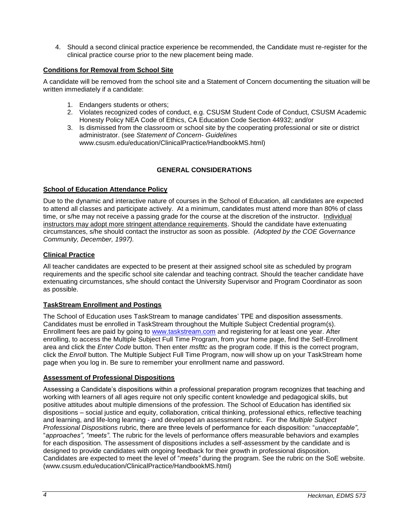4. Should a second clinical practice experience be recommended, the Candidate must re-register for the clinical practice course prior to the new placement being made.

## **Conditions for Removal from School Site**

A candidate will be removed from the school site and a Statement of Concern documenting the situation will be written immediately if a candidate:

- 1. Endangers students or others;
- 2. Violates recognized codes of conduct, e.g. CSUSM Student Code of Conduct, CSUSM Academic Honesty Policy NEA Code of Ethics, CA Education Code Section 44932; and/or
- 3. Is dismissed from the classroom or school site by the cooperating professional or site or district administrator. (see *Statement of Concern- Guidelines* www.csusm.edu/education/ClinicalPractice/HandbookMS.html)

# **GENERAL CONSIDERATIONS**

## **School of Education Attendance Policy**

Due to the dynamic and interactive nature of courses in the School of Education, all candidates are expected to attend all classes and participate actively. At a minimum, candidates must attend more than 80% of class time, or s/he may not receive a passing grade for the course at the discretion of the instructor. Individual instructors may adopt more stringent attendance requirements. Should the candidate have extenuating circumstances, s/he should contact the instructor as soon as possible. *(Adopted by the COE Governance Community, December, 1997).*

## **Clinical Practice**

All teacher candidates are expected to be present at their assigned school site as scheduled by program requirements and the specific school site calendar and teaching contract. Should the teacher candidate have extenuating circumstances, s/he should contact the University Supervisor and Program Coordinator as soon as possible.

## **TaskStream Enrollment and Postings**

The School of Education uses TaskStream to manage candidates' TPE and disposition assessments. Candidates must be enrolled in TaskStream throughout the Multiple Subject Credential program(s). Enrollment fees are paid by going to [www.taskstream.com](http://www.taskstrem.com/) and registering for at least one year. After enrolling, to access the Multiple Subject Full Time Program, from your home page, find the Self-Enrollment area and click the *Enter Code* button. Then enter *msfttc* as the program code. If this is the correct program, click the *Enroll* button. The Multiple Subject Full Time Program, now will show up on your TaskStream home page when you log in. Be sure to remember your enrollment name and password.

## **Assessment of Professional Dispositions**

Assessing a Candidate's dispositions within a professional preparation program recognizes that teaching and working with learners of all ages require not only specific content knowledge and pedagogical skills, but positive attitudes about multiple dimensions of the profession. The School of Education has identified six dispositions – social justice and equity, collaboration, critical thinking, professional ethics, reflective teaching and learning, and life-long learning - and developed an assessment rubric. For the *Multiple Subject Professional Dispositions* rubric, there are three levels of performance for each disposition: "*unacceptable"*, "*approaches", "meets"*. The rubric for the levels of performance offers measurable behaviors and examples for each disposition. The assessment of dispositions includes a self-assessment by the candidate and is designed to provide candidates with ongoing feedback for their growth in professional disposition. Candidates are expected to meet the level of "*meets"* during the program. See the rubric on the SoE website. (www.csusm.edu/education/ClinicalPractice/HandbookMS.html)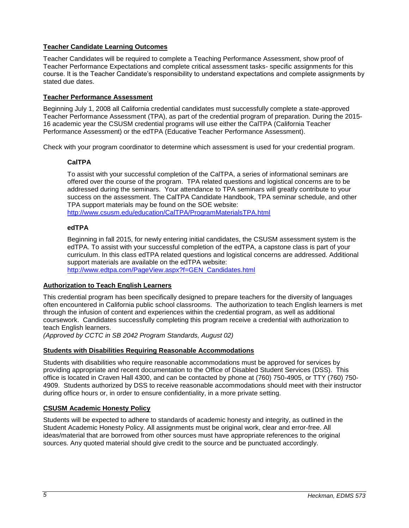## **Teacher Candidate Learning Outcomes**

Teacher Candidates will be required to complete a Teaching Performance Assessment, show proof of Teacher Performance Expectations and complete critical assessment tasks- specific assignments for this course. It is the Teacher Candidate's responsibility to understand expectations and complete assignments by stated due dates.

## **Teacher Performance Assessment**

Beginning July 1, 2008 all California credential candidates must successfully complete a state-approved Teacher Performance Assessment (TPA), as part of the credential program of preparation. During the 2015- 16 academic year the CSUSM credential programs will use either the CalTPA (California Teacher Performance Assessment) or the edTPA (Educative Teacher Performance Assessment).

Check with your program coordinator to determine which assessment is used for your credential program.

## **CalTPA**

To assist with your successful completion of the CalTPA, a series of informational seminars are offered over the course of the program. TPA related questions and logistical concerns are to be addressed during the seminars. Your attendance to TPA seminars will greatly contribute to your success on the assessment. The CalTPA Candidate Handbook, TPA seminar schedule, and other TPA support materials may be found on the SOE website:

<http://www.csusm.edu/education/CalTPA/ProgramMaterialsTPA.html>

## **edTPA**

Beginning in fall 2015, for newly entering initial candidates, the CSUSM assessment system is the edTPA. To assist with your successful completion of the edTPA, a capstone class is part of your curriculum. In this class edTPA related questions and logistical concerns are addressed. Additional support materials are available on the edTPA website:

[http://www.edtpa.com/PageView.aspx?f=GEN\\_Candidates.html](http://www.edtpa.com/PageView.aspx?f=GEN_Candidates.html)

## **Authorization to Teach English Learners**

This credential program has been specifically designed to prepare teachers for the diversity of languages often encountered in California public school classrooms. The authorization to teach English learners is met through the infusion of content and experiences within the credential program, as well as additional coursework. Candidates successfully completing this program receive a credential with authorization to teach English learners.

*(Approved by CCTC in SB 2042 Program Standards, August 02)*

## **Students with Disabilities Requiring Reasonable Accommodations**

Students with disabilities who require reasonable accommodations must be approved for services by providing appropriate and recent documentation to the Office of Disabled Student Services (DSS). This office is located in Craven Hall 4300, and can be contacted by phone at (760) 750-4905, or TTY (760) 750- 4909. Students authorized by DSS to receive reasonable accommodations should meet with their instructor during office hours or, in order to ensure confidentiality, in a more private setting.

## **CSUSM Academic Honesty Policy**

Students will be expected to adhere to standards of academic honesty and integrity, as outlined in the Student Academic Honesty Policy. All assignments must be original work, clear and error-free. All ideas/material that are borrowed from other sources must have appropriate references to the original sources. Any quoted material should give credit to the source and be punctuated accordingly.